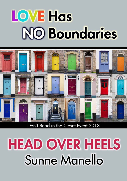# **LOVE Has NO Boundaries**



Don't Read in the Closet Event 2013

# **HEAD OVER HEELS Sunne Manello**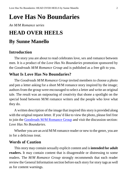# **Love Has No Boundaries**

*An M/M Romance series*

# **HEAD OVER HEELS By Sunne Manello**

## **Introduction**

The story you are about to read celebrates love, sex and romance between men. It is a product of the *Love Has No Boundaries* promotion sponsored by the *Goodreads M/M Romance Group* and is published as a free gift to you.

# **What Is Love Has No Boundaries?**

The *Goodreads M/M Romance Group* invited members to choose a photo and pen a letter asking for a short M/M romance story inspired by the image; authors from the group were encouraged to select a letter and write an original tale. The result was an outpouring of creativity that shone a spotlight on the special bond between M/M romance writers and the people who love what they do.

A written description of the image that inspired this story is provided along with the original request letter. If you'd like to view the photo, please feel free to join the [Goodreads M/M Romance Group](http://www.goodreads.com/group/show/20149-m-m-romance) and visit the discussion section: *Love Has No Boundaries*.

Whether you are an avid M/M romance reader or new to the genre, you are in for a delicious treat.

## **Words of Caution**

This story may contain sexually explicit content and is **intended for adult readers.** It may contain content that is disagreeable or distressing to some readers. The *M/M Romance Group* strongly recommends that each reader review the General Information section before each story for story tags as well as for content warnings.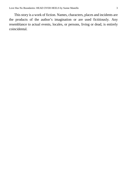This story is a work of fiction. Names, characters, places and incidents are the products of the author's imagination or are used fictitiously. Any resemblance to actual events, locales, or persons, living or dead, is entirely coincidental.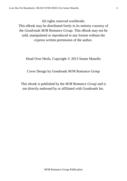All rights reserved worldwide.

This eBook may be distributed freely in its entirety courtesy of the *Goodreads M/M Romance Group*. This eBook may not be sold, manipulated or reproduced in any format without the express written permission of the author.

Head Over Heels, Copyright © 2013 Sunne Manello

Cover Design by Goodreads M/M Romance Group

This ebook is published by the *M/M Romance Group* and is not directly endorsed by or affiliated with Goodreads Inc.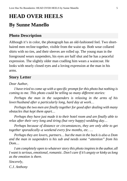# **HEAD OVER HEELS By Sunne Manello**

## **Photo Description**

Although it's in color, the photograph has an old-fashioned feel. Two shorthaired men recline together, visible from the waist up. Both wear collared shirts with no ties, and their sleeves are rolled up. The young man in the foreground wears suspenders, his eyes are half shut and he has a peaceful expression. The slightly older man cradling him wears a waistcoat. He looks with nearly closed eyes and a loving expression at the man in his arms.

### **Story Letter**

#### *Dear Author,*

*I have tried to come up with a specific prompt for this photo but nothing is coming to me. This photo could be telling so many different stories:*

*Perhaps the man in the suspenders is relaxing in the arms of his lover/husband after a particularly long, hard day at work…*

*Perhaps the two men are finally together for good after dealing with many obstacles that kept them apart…*

*Perhaps they have just made it to their hotel room and are finally able to relax after their very long and tiring (but very happy) wedding day…*

*Perhaps because of distance or circumstances, they are only able to get together sporadically–a weekend every few months, etc. …*

*Perhaps they are lovers, partners… but the man in the back is also a Dom and the man in suspenders is his sub and needs some "attention" from his Dom…*

*I am completely open to whatever story this photo inspiresin the author, all I want is serious, emotional, romantic. Don't care if it's angsty or kinky aslong as the emotion is there.*

#### *Sincerely,*

*C.J. Anthony*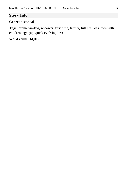# **Story Info**

**Genre:** historical

**Tags:** brother-in-law, widower, first time, family, full life, loss, men with children, age gap, quick evolving love

**Word count:** 14,012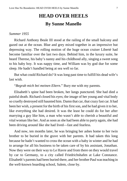# **HEAD OVER HEELS By Sunne Manello**

#### *Summer 1955*

Richard Anthony Beale III stood at the railing of the small balcony and gazed out at the ocean. Blue and grey mixed together in an impressive but depressing way. The rolling motion of the huge ocean cruiser Liberté had become familiar over the last two days. Behind him, in the luxury suite, he heard Therese, his baby's nanny and his childhood ally, singing a sweet song to his baby boy. It was nappy time, and William was by god due for some sleep. He hadn't handled being at sea well so far.

But what could Richard do? It was long past time to fulfill his dead wife's last wish.

"*Begrab mich bei meinen Eltern*." Bury me with my parents.

Elisabeth's spine had been broken, her lungs punctured. She had died a painful death. Richard closed his eyes; the image of her young and vital body so cruelly destroyed still haunted him. Damn that car, that crazy fast car. It had been her wish, a present for the birth of his first son, and he had given it to her, like everything she had desired. It was the least he could do for her after marrying a guy like him, a man who wasn't able to cherish a beautiful and vital woman like her. And as soon as she had been able to party again, she had been driving around like she had lived—fast and fearless.

And now, ten months later, he was bringing her ashes home to her twin brother to be buried in the grave with her parents. It had taken this long because he hadn't wanted to cross the ocean with a baby in winter and he had to arrange for all his business to be taken care of by his assistant, Jonathan. Now they were on their way to Le Havre and from there on they would travel by car to Germany, to a city called Friedrichshafen at Lake Constance. Elisabeth's parents had been buried there, and her brother Paul was teaching in the well-known boarding school, Salem, close by.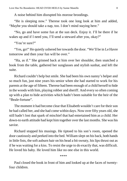A noise behind him disrupted his morose broodings.

"He is sleeping now." Therese took one long look at him and added, "Maybe you should take a nap, too. I don't mind staying here."

"No, go and have some fun at the sun deck. Enjoy it. I'll be there if he wakes up and if I need you, I'll send a steward after you, okay?"

"You're sure?"

"Yes, go!" He quietly ushered her towards the door. "We'll be in Le Havre tomorrow and then your fun will be over."

"Ha, as if." She grinned back at him over her shoulder, then snatched a book from the table, gathered her sunglasses and stylish sunhat, and left the suite.

Richard couldn't help but smile. She had been his own nanny's helper and so much fun, just nine years his senior when she had started to work for his parents at the age of fifteen. Therese had been enough of a child herself to hide in the woods with him, playing robber and sheriff. And every so often coming up with a plan to hide activities which hadn't been suitable for the heir of the "Beale-fortune".

The moment it had become clear that Elisabeth wouldn't care for their son he had called her, and she had come within days. Now over fifty years old, she still hadn't lost that spark of mischief that had entertained him as a child. Her down-to earth attitude had kept him together over the last months. She was his savior.

Richard stopped his musings. He tiptoed to his son's room, opened the door cautiously and peeked into the bed. William slept on his back, both hands in little fists, the soft auburn hair on his head a bit sweaty, his lips thrust out as if he was waiting for a kiss. To resist the urge to do exactly that, was difficult. He loved his baby. He loved him like no one else in this world.

\*\*\*\*

Paul closed the book in front of him and looked up at the faces of twentyfour children.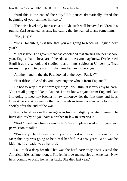"And this is the end of the story." He paused dramatically. "And the beginning of your summer holidays."

The noise level only increased a bit. Ah, such well-behaved children, his pupils. Karl stretched his arm, indicating that he wanted to ask something.

"Yes, Karl?"

"Herr Hohenfels, is it true that you are going to teach us English next year?"

"That is true. The government has concluded that starting the next school year, English has to be a part of the education. As you may know, I've learned English at my school, and studied it as a minor subject at University. That means I'm going to be your English teacher next school year."

Another hand in the air. Paul looked at the boy. "Patrick?"

"Is it difficult? And do you know anyone who is from England?"

He had to keep himself from grinning: "No, I think it is very easy to learn. You are all going to like it. And no, I don't know anyone from England. But I'm going to meet my brother-in-law tomorrow for the first time, and he is from America. Also, my mother had friends in America who came to visit us shortly after the end of the war."

Karl's hand was in the air again in his own slightly erratic manner. He burst out, "Why do you have a brother-in-law in America?"

"Karl." Paul gave him a stern look. "Can you please wait until I give you permission to talk?"

"I'm sorry, Herr Hohenfels." Eyes downcast and a demure look on his face; this boy was going to be a real handful in a few years. Who was he kidding, he already was a handful.

Paul took a deep breath. That was the hard part: "My sister visited the American friends I mentioned. She fell in love and married an American. Now he is coming to bring her ashes back. She died last year."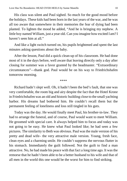His class was silent and Paul sighed. So much for the good mood before the holidays. These kids had been born in the last years of the war, and he was all too aware that somewhere in their memories the fear of dying had been planted. To lighten the mood he added, "And he is bringing my nephew. A little boy named William, just a year old. Can you imagine how excited I am? I haven't seen him at all."

And like a light switch turned on, his pupils brightened and spent the last minutes asking questions about the baby.

After the lesson, Paul did a quick clean-up of his classroom. He had done most of it in the days before, well aware that leaving directly only a day after closing for summer was a favor granted by the headmaster. "Extraordinary circumstances"—thank god. Paul would be on his way to Friedrichshafen tomorrow morning.

\*\*\*\*

Richard hadn't slept well. Oh, it hadn't been the bed's fault, that one was very comfortable, the room big and airy despite the fact that the Hotel Krone in Friedrichshafen was an old and historic building close to the small yachting harbor. His dreams had bothered him. He couldn't recall them but the permanent feeling of loneliness and loss still tingled in his guts.

Today was the day. He would finally meet Paul, his brother-in-law. They had to arrange the funeral, and of course, Paul would want to meet William. He groomed with special care. It always helped him to focus and today was not going to be easy. He knew what Paul looked like; he had seen a few pictures. The similarity to Beth was obvious. Paul was the male version of his pretty and dead wife– the very attractive male version. Young, fresh face, clean eyes and a charming smile. He couldn't suppress the nervous flutter in his stomach. Immediately the guilt followed. Not the guilt to find a man attractive. No, he had made his peace with that fact a long time ago. It was the remorse that he hadn't been able to be a better husband to his wife and that of all men in the world this one would be the worst for him to find striking.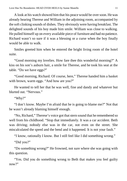A look at his watch showed him that his peace would be over soon. He was already hearing Therese and William in the adjoining room, accompanied by the soft clinking sounds of dishes. They obviously were having breakfast. The delighted sounds of his boy made him smile. William was close to walking. He pulled himself up on every available piece of furniture and had no patience. Richard wasn't so sure if it was a blessing or a curse when the boy finally would be able to walk.

Smiles greeted him when he entered the bright living room of the hotel suite.

"Good morning my lovelies. How fare thee this wonderful morning?" A kiss on his son's auburn hair, a smile for Therese, and he took his seat at the table. "Do we have eggs?"

"Good morning, Richard. Of course, here," Therese handed him a basket with brown, warm eggs. "And how are you?"

He wanted to tell her that he was well, fine and dandy and whatever but blurted out. "Nervous."

"Why?"

"I don't know. Maybe I'm afraid that he is going to blame me?" Not that he wasn't already blaming himself enough.

"No, Richard," Therese's voice got that stern sound that he remembered so well from his childhood. "Stop that immediately. It was a car accident. Beth was driving; nobody else was in the car, not even on the street. She miscalculated the speed and the bend and it happened. It is not your fault."

"I know, rationally I know. But I still feel like I did something wrong."

"Did you?"

"Do something wrong?" He frowned, not sure where she was going with this question.

"Yes. Did you do something wrong to Beth that makes you feel guilty now?"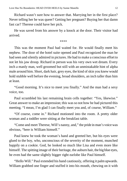Richard wasn't sure how to answer that. Marrying her in the first place? Never telling her he was queer? Getting her pregnant? Buying her that damn fast car? Therese could have her pick.

He was saved from his answer by a knock at the door. Their visitor had arrived.

\*\*\*\*

This was the moment Paul had waited for. He would finally meet his nephew. The door of the hotel suite opened and Paul recognized the man he had seen and silently admired in pictures. He had to make a conscious effort to not let his jaw droop. Richard in person was his very own wet dream. Every inch a manly man, well groomed but still with an unmistakable hint of alpha male around him. Short, dark hair, grey eyes, the kind of skin you knew would hold stubble well before the evening, broad shoulders, an inch taller than him at least.

"Good morning. It's nice to meet you finally." And the man had a sexy voice, too.

Paul scrambled his last remaining brain cells together: "Yes, likewise." Great answer to make an impression; this was so not how he had pictured this meeting. "I mean, I'm glad I can finally meet you and, of course, William."

"Of course, come in." Richard motioned into the room. A pretty older woman and a toddler were sitting at the breakfast table.

"Come and meet Therese, Will's nanny, and," the pride in man's voice was obvious, "here is William himself."

Paul knew he took the woman's hand and greeted her, but his eyes were glued to the boy, who, unconscious of the severity of the moment, munched happily on a cookie. God, he looked so much like Lisa and even more like himself. The spitting image of their heritage, the auburn hair, the big blue eyes, he even had the same slightly bigger right earlobe like Paul himself.

"Hello Will." Paul extended his hand cautiously, offering it palm upwards. William grabbed one finger and stuffed it into his mouth, chewing on it with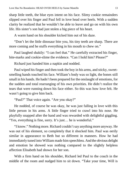sharp little teeth, the blue eyes intent on his face. Slimy cookie remainders slipped over his finger and Paul fell in love head over heels. With a sudden clarity he realized that he wouldn't be able to leave and go on with his own life. His sister's son had just stolen a big piece of his heart.

A warm hand on his shoulder kicked him out of his daze.

"Don't let the little dinosaur bite you, his tiny teeth are sharp. There are more coming and he stuffs everything in his mouth to chew on."

Paul laughed shakily: "I can feel that." He carefully extracted his finger, bite-marks and cookie-slime the evidence. "Can I hold him? Please?"

Richard just handed him a napkin and nodded.

Paul wiped his finger and then took the boy in his arms, and sticky, sweetsmelling hands touched his face. William's body was so light, the bones still small in his hands. He hadn't been prepared for the onslaught of emotions, for the sudden and total rearranging of his own priorities. He didn't realize the tears that were running down his face either. So this was how love felt. He wasn't going to give him back.

"Paul?" That voice again. "Are you okay?"

He nodded, of course he was okay, he was just falling in love with this little person in his arms. A little finger tried to crawl into his nose. He playfully snapped after the hand and was rewarded with delightful giggling. "Yes, everything is fine, sorry. It's just… he is wonderful."

"I know." Nothing more. Richard couldn't say anything more anyway. He was out of his element, so completely that it shocked him. Paul was eerily similar in appearance to Beth but so different in manners. How he had immediately tuned into William made him speechless. And the obvious delight and emotion he showed was nothing compared to the slightly helpless affection Elisabeth had shown for her son.

With a firm hand on his shoulder, Richard led Paul to the couch in the middle of the room and nudged him to sit down. "Take your time, Will is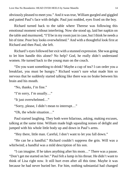obviously pleased to meet you." And it was true, William gurgled and giggled and patted Paul's face with delight. Paul just nodded, eyes fixed on the boy.

Richard turned back to the table where Therese was following this emotional moment without interfering. Now she stood up, laid her napkin on the table and murmured, "I'll be in my room just in case, but I think he needs a bit of time. Poor boy looks overwhelmed." And with a thoughtful look first at Richard and then Paul, she left.

Richard's eyes followed her exit with a stunned expression. She was going to let him handle this alone? No help? God, he really didn't understand women. He turned back to the young man on the couch.

"Do you want something to drink? Maybe a cup of tea? I can order you a breakfast, you must be hungry." Richard wasn't sure what made him so nervous that he suddenly started talking like there was no brake between his brain and his mouth.

"No, thanks, I'm fine."

"I'm sorry, I'm usually…"

"It just overwhelmed…"

"Sorry, please, I didn't mean to interrupt…"

"Oh, the whole situation…"

Paul started laughing. They both were hilarious, asking, making excuses, talking at the same time. William made high squealing noises of delight and jumped with his whole little body up and down in Paul's arms.

"Hey there, little man. Careful, I don't want to let you fall down."

"He can be a handful." Richard couldn't suppress the grin. Will was a whirlwind; a handful was a mild description of his son.

"I can imagine. If he takes anything after his mom…" There was a pause. "Don't get me started on her." Paul felt a lump in his throat. He didn't want to think of Lisa right now. It still hurt even after all this time. Maybe it was because he had never buried her. For him, nothing substantial had changed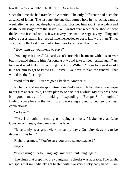since the time she had traveled to America. The only difference had been the absence of letters. The last one, the one that burnt a hole in his jacket, came a week after he received the phone call that informed him about her accident and death. A message from the grave. Paul wasn't sure whether he should show the letter to Richard or not. It was a very personal message, a very telling and private observation. He needed time; he needed to get to know the man. Time, yes, maybe the best course of action was to find out about that.

"How long do you intend to stay?"

"As long as it takes." Richard wasn't sure what he meant with this answer but it seemed right to him. As long as it would take to feel normal again? As long as it would take for Paul to get to know William? Or as long as it would take for him to get to know Paul? "Well, we have to plan the funeral. That would be the first step."

"And after that? You are going back to America?"

Richard could see disappointment in Paul's eyes. He had the sudden urge to put him at ease. "No, I don't plan to go back for a while. My business there is in good hands and I'm thinking of expanding to Europe. So I thought of finding a base here in the vicinity, and traveling around to get new business connections"

"A base?"

"Yes, I thought of renting or buying a house. Maybe here at Lake Constance? I enjoy the view over the lake."

"It certainly is a great view on sunny days. On rainy days it can be depressing as hell."

Richard grinned: "You're sure you are a schoolteacher?"

"Yes?"

"Depressing as hell? Language, my dear Paul, language."

The blush that crept into the young man's cheeks was adorable. Two bright red spots that immediately got beaten with two very sticky baby hands. Paul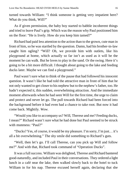turned towards William: "I think someone is getting very impatient here? What do you think, Will?"

As if given permission, the baby boy started to babble incoherent things and tried to leave Paul's grip. Which was the reason why Paul positioned him on the floor: "He is lively. How do you keep him tamed?"

Richard had paid less attention to the action than to the grown, cute man in front of him, so he was startled by the question. Damn, had his brother-in-law caught him ogling? "Will? Oh, we provide him with outlets, like his playground at home, which actually so far isn't as used as it will be the moment he can walk. But he loves to play in the sand. Or the swing. Here it's going to be a bit more difficult. I thought about going to the lake and feeding ducks later. Maybe we can find a playground."

Paul wasn't sure what to think of the pause that had followed his innocent question. It wasn't like he had told the attractive man in front of him that he not only wanted to get closer to his nephew but to the nephew's father, too. He hadn't expected it, this sudden, overwhelming attraction. And the immediate moment afterwards when he had seen Will for the first time, the urge to claim and protect and never let go. The pull towards Richard had been forced into the background before it had even had a chance to take root. But now it had come back. Mightily. *Wow.*

"Would you like to accompany us? Will, Therese and me? Feeding ducks, I mean?" Richard wasn't sure what he had done but Paul seemed to be struck with muteness: "Paul?"

"Ducks? Yes, of course, it would be my pleasure. I'm sorry, I'm just… it's all a bit overwhelming." The shy smile did something to Richard's guts.

"Well, then let's go. I'll call Therese, can you pick up Will and follow me?" And with that, Richard took command of "Operation Ducks".

It was a full success. William was delighted, Therese and Richard bantered good-naturedly, and included Paul in their conversations. They ordered a light lunch in a café near the lake, then walked slowly back to the hotel to tuck William in for his nap. Therese excused herself again, declaring that she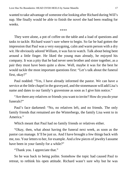wanted to take advantage of someone else looking after Richard during Will's nap. She finally would be able to finish the novel she had been reading for weeks.

\*\*\*\*

They were alone, a pot of coffee on the table and a load of questions and tasks to tackle. Richard wasn't sure where to begin. So far he had gotten the impression that Paul was a very easygoing, calm and warm person with a dry wit. He obviously adored William, it was fun to watch. Talk about being bent around a little finger. He liked the young man already, he enjoyed his company. It was a pity that he had never seen brother and sister together, as a pair they must have been quite a show. Well, maybe it was for the best he would tackle the most important questions first: "Let's talk about the funeral first, okay?"

Paul nodded: "Yes, I have already informed the pastor. We can have a service at the little chapel in the graveyard, and the stonemason will add Lisa's name and dates to our family's gravestone as soon as I give him notice."

"Are there any relatives or friends you want to invite? How do you do your funerals?"

Paul's face darkened: "No, no relatives left, and no friends. The only family friends that remained are the Winterbergs, the family Lisa went to in America."

Which meant that Paul had no family friends or relatives either.

"Okay, then, what about having the funeral next week, as soon as the pastor can manage. It'll be just us. And I have brought a few things back with me, too. Your letters to her, for example. And a few pieces of jewelry I assume have been in your family for a while?"

"Thank you. I appreciate that."

So he was back to being polite. Somehow the topic had caused Paul to retreat, to rethink his open attitude. Richard wasn't sure why but he was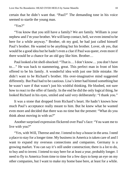certain that he didn't want that. "Paul?" The demanding tone in his voice seemed to startle the young man.

"Yes?"

"You know that you still have a family? We are family. William is your nephew and I'm your brother. We will keep contact, hell, we even intend to be here for a while anyway." Brother, oh my god, he had just called himself Paul's brother. He wanted to be anything but his brother. Lover, oh yes, that would be a good idea but he hadn't even a clue if Paul was queer, even more if there would be a chance for an old guy like him. Brother…

Paul looked a bit shell-shocked: "That is… I don't know… you don't have to…" He was back to stammering, great. This perfect man in front of him offered to be his family. A wonderful idea with just one little mistake. He didn't want to be Richard's brother. His over-imaginative mind suggested differently. But Paul had to be cautious. Lisa's letter had hinted something but he wasn't sure if that wasn't just his wishful thinking. He blushed, not sure how to react to the offer of family. In the end he did the only logical thing, he looked Richard in his eyes, smiled and said very deliberately: "I thank you."

It was a stone that dropped from Richard's heart. He hadn't known how much Paul's acceptance really meant to him. But he knew what he wanted even more and decided that there was no time but the present: "What do you think about moving in with us?"

Another surprised expression flickered over Paul's face: "You want me to live with you?"

"Yes, with Will, Therese and me. I intend to buy a house in the area. I need a place to stay for a longer time. My business in America is taken care of and I want to expand my overseas connections and companies. Germany is a growing market. You can say it's still under construction; there is a lot to do, to buy and to invest. I intend to stay here for at least a year, probably longer. I need to fly to America from time to time for a few days to keep an eye on my other companies, but I want to make my home base here, at least for a while.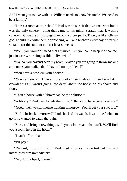And I want you to live with us. William needs to know his uncle. We need to be a family."

"I have a room at the school." Paul wasn't sure if that was relevant but it was the only coherent thing that came to his mind. Scratch that, it wasn't coherent, it was the only thought he could voice openly. Thoughts like "Oh my god, I could live with them." or "Seeing Will and Richard every day?" weren't suitable for this talk, or at least he assumed so.

"Well, you wouldn't need that anymore. But you could keep it of course, just in case we are impossible to live with."

"Ha, ha, you haven't seen my room. Maybe you are going to throw me out as soon as you realize that I have a book-problem?"

"You have a problem with books?"

"You can say so; I have more books than shelves. It can be a bit… crowded." Paul wasn't going into detail about the books on his chairs and floor.

"Then a house with a library can be the solution."

"A library." Paul tried to hide the smile. "I think you have convinced me."

"Good, then we start house-hunting tomorrow. You'll get your say, too."

"So I'll be back tomorrow?" Paul checked his watch. It was time for him to go if he wanted to catch the train.

"Sure, and bring a few things with you, clothes and that stuff. We'll find you a room here in the hotel."

"I can't afford that."

"I'll pay."

"Richard, I don't think…" Paul tried to voice his protest but Richard interrupted him immediately.

"No, don't object, please."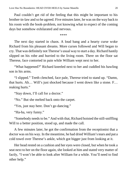Paul couldn't get rid of the feeling that this might be important to his brother-in-law and so he agreed. Five minutes later, he was on the way back to his room with the book-problem, not knowing what to expect of the coming days but somehow exhilarated and nervous.

\*\*\*\*

The next day started in chaos. A loud bang and a hearty curse woke Richard from his pleasant dreams. More curses followed and Will began to cry. That was definitely not Therese's usual way to start a day. Richard hastily slipped on his robe and hurried to the living room. There on the floor sat Therese, face contorted in pain while William wept next to her.

"What happened?" Richard kneeled next to her and cuddled his bawling son in his arms.

"I slipped." Teeth clenched, face pale, Therese tried to stand up. "Damn, that hurts. Ah… Will's just shocked because I went down like a stone. F… reaking hurts."

"Stay down, I'll call for a doctor."

"No." But she melted back onto the carpet.

"Yes, just stay here. Don't go dancing."

"Ha-ha, very funny."

"Somebody needs to be." And with that, Richard hoisted the still-sniffling Will to a better position, stood up, and made the call.

A few minutes later, he got the confirmation from the receptionist that a doctor was on his way. In the meantime, he had dried William's tears and put a cold towel over Therese's ankle, which got bigger just from looking at it.

Her head rested on a cushion and her eyes were closed, but when he took a seat next to her on the floor again, she looked at him and stated very matter of factly, "I won't be able to look after William for a while. You'll need to find other help."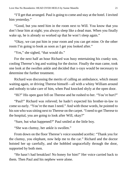"I'll get that arranged. Paul is going to come and stay at the hotel. I invited him vesterday."

"Good, but you need him in the room next to Will. You know that you don't hear him at night; you always sleep like a dead man. When you finally wake up, he is already so worked up that he won't sleep again."

"Okay, we can put him in your room and you can get mine. Or the other room I'm going to book as soon as I get you looked after."

"Yes," she sighed, "that would do."

For the next half an hour Richard was busy entertaining his cranky son, cooling Therese's leg and waiting for the doctor. Finally the man came, took one look at the swollen ankle and decided that x-rays would be necessary to determine the further treatment.

Richard was discussing the merits of calling an ambulance, which meant waiting again, or driving Therese himself—all with a whiny William around and nobody to take care of him, when Paul knocked shyly at the open door.

"Hi?" His open gaze fell on Therese and he rushed to her. "You're hurt?"

"Paul!" Richard was relieved; he hadn't expected his brother-in-law to come so early. "You're the man I need." And with those words, he pointed to his son who was sitting next to Therese on the carpet. "I need to get Therese to the hospital, you are going to look after Will, okay?"

"Sure, but what happened?" Paul smiled at the little boy.

"She was clumsy, her ankle is swollen."

From down on the floor Therese's voice sounded acerbic: "Thank you for the clumsy, you elephant, now help me to the car." Richard and the doctor hoisted her up carefully, and she hobbled ungracefully through the door, supported by both men.

"He hasn't had breakfast! No honey for him!" Her voice carried back to them. Then Paul and his nephew were alone.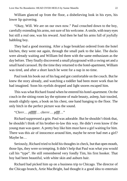William glanced up from the floor, a disbelieving look in his eyes, his lower lip quivering.

"Okay, Will. We are on our own now." Paul crouched down to the boy, carefully extending his arms, not sure of his welcome. A smile, with teary eyes but still a real one, was his reward. And then he had his arms full of joyfully babbling boy.

They had a good morning. After a huge breakfast ordered from the hotel kitchen, they went out again, through the small park to the lake. The ducks were already waiting and William fed them with the same enthusiasm as the day before. They finally discovered a small playground with a swing set and a small hand carousel. By the time they returned to the hotel-apartment, William was tired, and after a short lunch he went for a nap in no time.

Paul took his book out of his bag and got comfortable on the couch. But he knew the story already, and watching a toddler had been more work than he had imagined. Soon his eyelids dropped and light snores escaped him.

This was what Richard found when he entered his hotel-apartment. On the couch in the sitting room lay the epitome of male beauty, asleep, hair tousled, mouth slightly open, a book on his chest, one hand hanging to the floor. The only hitch in the perfect picture was the sound.

"*Chrrr*… *pffffff*… *chrrrr*… *pffff*…"

Richard suppressed a grin. Paul was adorable. But he shouldn't think that, he shouldn't think of his brother-in-law this way. He didn't even know if the young man was queer. A pretty boy like him must have a girl waiting for him. There was this air of innocence around him, maybe he never had met a girl? Maybe he…

Seriously, Richard tried to hold his thoughts in check, but that open mouth, those lips, they were so tempting. It didn't help that Paul was what you would call his "type". He still remembered very fondly Tim, his first hooker. That boy had been beautiful, with white skin and auburn hair.

Richard had picked him up on a business trip to Chicago. The director of the Chicago branch, Artie MacBright, had thought it a good idea to entertain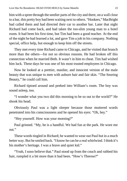him with a spree through the seedier parts of the city and there, on a wall close to a bar, this pretty boy had been waiting next to others. "Hookers," MacBright had called them and had directed their car to another bar. Later that night Richard had come back, and had taken the too-slim young man to a hotel room. It had been his first time, but Tim had been a good teacher. At the end of the night he had learned a lot, and gave Tim a job in his company. Nothing special, office help, but enough to keep him off the streets.

They met every time Richard came to Chicago, and he visited that branch more than the others—for not so obvious reasons. He had broken off this connection when he married Beth. It wasn't in him to cheat. Tim had wished him luck. These days he was one of his most trusted employees in Chicago.

Now he looked at a prettier, manlier, and innocent version of the male beauty that was unique to men with auburn hair and fair skin. "The Snoring Beauty," he could call him.

Richard tiptoed around and peeked into William's room. The boy was sound asleep, too.

"I wonder what you two did this morning to be so out to the world?" He shook his head.

Obviously Paul was a light sleeper because those muttered words penetrated into his consciousness and he opened his eyes: "Oh, hey."

"Hey yourself. How was your morning?"

Paul grinned. "My, he is a handful. We had fun at the park. He wore me out."

These words tingled in Richard; he wanted to wear out Paul but in a much better way. But he smiled back. "I know he can be a real whirlwind. I think it's his mother's heritage. I was a brave and quiet kid."

"Yeah, I sooo believe that." Paul stood up from the couch and rubbed his hair, rumpled it a bit more than it had been. "How's Therese?"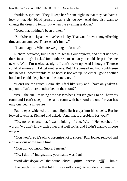"Ankle is sprained. They'll keep her for one night so that they can have a look at her. Her blood pressure was a bit too low. And they also want to change the dressing tomorrow when the swelling is down."

"Good that nothing's been broken."

"She's been lucky and we've been lucky. That would have annoyed her big time and an annoyed Therese isn't funny."

"I can imagine. What are we going to do now?"

Richard hesitated, but he had to get this out anyway, and what use was there in stalling? "I asked for another room so that you could sleep in the one next to Will. I'm useless at night, I don't wake up. And I thought Therese could take mine and I'd get another one. But." He paused and Paul could sense that he was uncomfortable. "The hotel is booked up. So either I go to another hotel or I could sleep here on the couch, or…"

"Don't use the couch. Seriously, I feel like sixty and I have only taken a nap on it. Isn't there another bed in the room?"

"Well, the one I'm using now has two beds, but it's going to be Therese's room and I can't sleep in the same room with her. And the one for you has only one bed, a king-size."

Paul's eyes widened a bit and slight flush crept into his cheeks. But he looked levelly at Richard and asked, "And that is a problem for you?"

"No, no, of course not. I was thinking of you. We…" He searched for words, "we don't know each other that well so far, and I didn't want to impose on you."

"You won't. So it's okay. I promise not to snore." Paul looked relieved and a bit anxious at the same time.

"You do, you know. Snore, I mean."

"No, I don't." Indignation, your name was Paul.

"And what do you call that sound '*chrrr*… *pffffff*… *chrrrr*… *pffff*…', hm?"

The couch cushion that hit him was soft enough to not do any damage.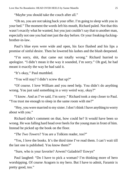"Maybe you should take the couch after all."

"Oh no, you are not taking back your offer. I'm going to sleep with you in your bed." The moment the words left his mouth, Richard paled. Not that this wasn't exactly what he wanted, but you just couldn't say that to another man, especially not one you had met just the day before. Or your freaking-fuckingbrother-in-law.

Paul's blue eyes were wide and open, his face flushed and his lips a promise of sinful desire. Then he lowered his lashes and the blush deepened.

"I'm sorry, shit, that came out totally wrong." Richard hurried to apologize. "I didn't mean it the way it sounded, I'm sorry." Oh god, he had meant it exactly the way he had said it.

"It's okay," Paul mumbled.

"You will stay? I didn't screw that up?"

"Of course. I love William and you need help. You didn't do anything wrong. You just said something in a very weird way, okay?"

"I know. And as I've said, I'm sorry." Richard took a step closer to Paul. "You trust me enough to sleep in the same room with me?"

"Hey, you were married to my sister. I don't think I have anything to worry about with you."

Richard didn't comment on that, how could he? It would have been so wrong. He was falling hard head over heels for the young man in front of him. Instead he picked up the book on the floor.

"*The Two Towers*? You are a Tolkien reader, too?"

"Yes, I love the books. It's the third time I've read them. I can't wait till the last one is published. You know them?"

"Sure, who is your favorite? Arwen? Galadriel? Eowyn"

Paul laughed: "Do I have to pick a woman? I'm thinking more of hero worshipping. Of course Aragorn is my hero. But I have to admit, Faramir is pretty good, too."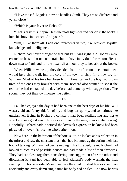"I love the elf, Legolas, how he handles Gimli. They are so different and yet so close."

"Which is your favorite Hobbit?"

"That's easy, it's Pippin. He is the most light-hearted person in the books. I love his brave innocence. And yours?"

"Hm, I like them all. Each one represents values, like bravery, loyalty, knowledge and intelligence.

Richard had never thought of that but Paul was right, the Hobbits were created to be similar on some traits but to have individual fortes, too. He sat down next to Paul, and for the next half an hour they talked about the books.

When William woke up, they decided that the afternoon's entertainment would be a short walk into the core of the town to shop for a new toy for William. Most of his toys had been left in America, and the boy had grown tired of the ones they brought with them. Richard also wanted to see if the realtor he had contacted the day before had come up with suggestions. The sooner they got their own house, the better.

\*\*\*\*

Paul had enjoyed the day; it had been one of the best days of his life. Will was a vivid and funny kid, full of joy and laughter, quirky, and sometimes like quicksilver. Being in Richard's company had been exhilarating and nerve wracking, in a good way. He was so smitten by the man, it was embarrassing. Hopefully Richard hadn't noticed the lovesick expression he knew had been plastered all over his face the whole afternoon.

Now here, in the bathroom of the hotel suite, he looked at his reflection in the mirror and saw the constant blush that had bloomed again during their last hour of talking. William had been sleeping in his little bed; he and Richard had looked at pictures of possible houses and had made a list of their favorites. They had sat close together, considering one suggestion after the other and discussing it. Paul had been able to feel Richard's body warmth, the heat seeping into his own side. More than once they had brushed legs or shoulders accidently and every damn single time his body had tingled. And now he was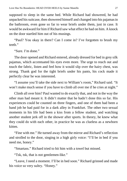supposed to sleep in the same bed. While Richard had showered, he had unpacked his suitcase, then showered himself and changed into his pajamas in the bathroom, even gone so far to wear briefs under them, just in case. It would be awkward for him if Richard saw what effect he had on him. A knock on the door startled him out of his musings.

"Paul? You okay in there? Can I come in? I've forgotten to brush my teeth."

"Sure. I'm done."

The door opened and Richard entered, already dressed for bed in grey silk pajamas, which accentuated his eyes even more. The urge to reach out and touch the fabric, listen and feel how it would slip over the hairy chest, was strong. Thank god for the tight briefs under his pants, his cock made it perfectly clear he was interested.

"I assume you'll take the side next to William's room," Richard said. "It won't make much sense if you have to climb all over me if he cries at night."

Climb all over him? Paul wanted to do exactly that, and not in the way the other man had meant it. It didn't matter that he hadn't done this so far. His experiences could be counted on three fingers, and one of them had been a hand job he had paid for in a dark alley in Frankfurt. The other two sexual moments in his life had been a kiss from a fellow student, and watching another student jerk off in the shower after sports. In theory, he knew what they could do with each other, in practice he was as clueless as a newborn kitten.

"Fine with me." He turned away from the mirror and Richard's reflection and strolled to the door, singing in a high girly voice: "I'll be in bed if you need me, honey."

"Smartass." Richard tried to hit him with a towel but missed.

"Tsk, tsk, that is not gentlemen-like."

"Leave, I need a moment. I'll be in bed soon." Richard grinned and made his voice so very sultry. "Honey."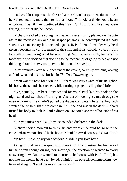Paul couldn't suppress the shiver that ran down his spine. At this moment he wanted nothing more than to be that "honey" for Richard. He would be an emotional mess if they continued this way. For him, it felt like they were flirting, but what did he know?

Richard watched the young man leave, his eyes firmly planted on the cute ass in the modest black and blue striped pajamas. He contemplated if a cold shower was necessary but decided against it. Paul would wonder why he'd taken a second shower. He turned to the sink, and splashed cold water onto his face while wondering what he was doing. With a heavy sigh, he took his toothbrush and decided that sticking to the mechanics of going to bed and not thinking about the sexy man next to him would serve best.

A few minutes later he slipped under the covers, carefully avoiding looking at Paul, who had his nose buried in *The Two Towers* again.

"You want to read for a while?" Richard was very aware of his neighbor, his body, the sounds he created while turning a page, rustling the fabric.

"No, actually, I'm beat. I just waited for you." Paul laid his book on the nightstand and switched off the lights. A sliver of moonlight came through the open windows. They hadn't pulled the drapes completely because they both wanted the fresh night air to come in. Still, the bed was in the dark. Richard turned his body to look in Paul's direction. He could see the silhouette of his head.

"Do you miss her?" Paul's voice sounded different in the dark.

Richard took a moment to think his answer over. Should he go with the expected answer or should he be honest? Paul deserved honesty. "Yes and no."

"Why?" The curiosity was obvious. "Didn't you love her?"

Oh god, that was the question, wasn't it? The question he had asked himself often enough during their marriage, the question he wanted to avoid answering now. But he wanted to be true, to be honest with Paul. "I did, but not like she should have been loved. I think I," he paused, contemplating how to word it right, "loved her more like a sister."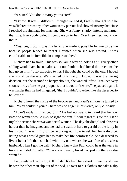"A sister? You don't marry your sister!"

"I know. It was… difficult. I thought we had it, I really thought so. She was different from any other woman my parents had shoved into my face since I reached the right age for marriage. She was funny, snarky, intelligent, larger than life. Everybody paled in comparison to her. You knew her, you know that"

"Yes, yes, I do. It was my luck. She made it possible for me to be me because people tended to forget I existed when she was around. It was comfortable to be invisible in comparison her."

Richard had to smile. This was so Paul's way of looking at it. Every other sibling would have been jealous, but not Paul; he had loved the freedom she had given him. "I felt attracted to her; I thought she could be the one. I hoped she would be the one. We married in a hurry, I know. It was the wrong decision, but she seemed so happy about it, she wanted it fast. I realized very soon, shortly after she got pregnant, that it wouldn't work," he paused again; it was harder than he had imagined, "that I couldn't love her like she deserved to be loved."

Richard heard the rustle of the bedcovers, and Paul's silhouette turned to him. "Why couldn't you?" There was no anger in his voice, only curiosity.

"I can't explain, I just couldn't." He had no way to tell Paul that he now knew no woman would ever be right for him. "I will regret this for the rest of my life because she was a wonderful woman. The day she died," god, this was harder than he imagined and he had to swallow hard to get rid of the lump in his throat, "I was in my office, working out how to ask her for a divorce, listing what I would give her to make her life comfortable. She deserved to live a better life than she had with me, one where she was free of a useless husband. Then I got the call." Richard knew that Paul could hear the tears in his voice. It didn't matter. "You know, I really loved her, just not the way she wanted."

Paul switched on the light. It blinded Richard for a short moment, and then he saw the other man slip out of the bed, go over to his clothes and take a slip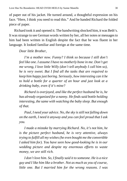of paper out of his jacket. He turned around, a thoughtful expression on his face. "Here, I think you need to read this." And he handed Richard the folded piece of paper.

Richard took it and opened it. The handwriting shocked him, it was Beth's. It was strange to see German words written by her, all her notes or messages to him had been written in English despite the fact that he was fluent in her language. It looked familiar and foreign at the same time.

### *Dear little Brother,*

*I'm a mother now. Funny? I think so because I still don't feel like one. I assume I have no motherly bone in me. Don't get me wrong, I love little Willy (don't tell anybody I call him so), he is very sweet. But I find all the tasks that are required to keep him happy just boring. Seriously, how interesting can it be to hold a bottle for a quarter of an hour and just look at a drinking baby, even if it's mine?*

*Richard is overjoyed, and like the perfect husband he is, he has already organized for a nanny. He finds said bottle holding interesting, the same with watching the baby sleep. But enough of that.* 

*Paul, I need your advice. No, the sky is still not falling down on the earth, I need it anyway and you can feel proud that I ask you.*

*I made a mistake by marrying Richard. No, it's not him, he is the picture perfect husband, he is very attentive, always trying to fulfill all my wishes (he even bought me the convertible I asked him for). You have seen how good-looking he is in our wedding picture and despite my enormous efforts to waste money, we are still rich.*

*I don't love him. So, I finally said it to someone. He is a nice guy and I like him like a brother. Not as much as you of course, little one. But I married him for the wrong reasons. I was*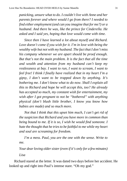*panicking, unsure what to do. I couldn't live with Anne and her parents forever and where would I go from there? I needed to find either employment (and can you imagine that for me?) or a husband. And there he was, like the prince for Cinderella. He asked and I said yes, hoping that love would come with time.*

*Since then I have learned a lot about myself and Richard. Love doesn't come if you wish for it. I'm in love with being the wealthy wife but not with my husband. The fact that I don't miss his company whenever we are apart should be proof enough. But that's not the main problem. It is the fact that all the time and wealth and attention from my husband can't keep my restlessness at bay. I want to run, I want to scream, I want to feel free! I think I finally have realized that in my heart I'm a gipsy, I don't want to be trapped down by anything. It's bothering me. I don't know what to do now. Shall I explain all this to Richard and hope he will accept this, too? He already has accepted so much, my constant wish for entertainment, my wish after I got pregnant to not be "bothered" with anything physical (don't blush little brother, I know you know how babies are made) and so much more.*

*Not that I think that this upset him much, I can't get rid of the suspicion that Richard and you have more in common than being bound to me. If it is so, I wish he would find someone. I hate the thought that he tries to be faithful to me while my heart and soul are screaming for freedom.*

*I'm a mess. Paul, you are the one with the sense. Write to me.*

*Your dear loving older sister (even if it's only for a few minutes)*

*Lisa*

Richard stared at the letter. It was dated two days before her accident. He looked up and right into Paul's intense stare. "Oh my god."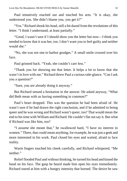Paul tentatively reached out and touched his arm. "It is okay, she understood you. She didn't blame you, you get it?"

"Yes." Richard shook his head, still a bit dazed from the revelations of this letter. "I think I understand, at least partially."

"Good, I wasn't sure if I should show you the letter but now—I think you needed to know that it was her, too. I don't want you to feel guilty and neither would she."

"No, she was not one to harbor grudges." A small smile crossed over his face.

Paul grinned back. "Yeah, she couldn't care less."

"Thank you for showing me that letter. It helps a lot to know that she wasn't in love with me." Richard threw Paul a curious side-glance. "Can I ask you a question?"

"Sure, you are already doing it anyway."

But Richard sensed a hesitation in the answer. He asked anyway, "What did Beth mean with us having something in common?"

Paul's heart dropped. This was the question he had been afraid of. He wasn't sure if he had drawn the right conclusion, and if he admitted to being queer and he was wrong and Richard wasn't queer, too? That would mean the end to his time with William and Richard. He couldn't flat out say it. But what if Richard was like him, too?

"I assume she meant that," he swallowed hard, "I have no interest in women." There, that could mean anything, for example, he was just a geek and more interested in his work. Paul closed his eyes and waited, afraid to face reality.

Warm fingers touched his cheek carefully, and Richard whispered, "Me neither."

Relief flooded Paul and without thinking, he turned his head and kissed the hand on his face. The gasp he heard made him open his eyes immediately. Richard stared at him with a hungry intensity that burned. The desire he saw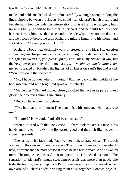made Paul bold, and he licked the palm, carefully wiping his tongue along the lines, dipping between the fingers. He could hear Richard's harsh breaths and feel the hand tremble under his ministrations. It tasted salty. An urgency built up in his belly, a wish to be closer to Richard, and he could feel his cock harden. It took him less than a second to decide what he wanted to do next, and he voiced it before he took Richard's middle finger into his mouth and sucked on it. "I want you to fuck me."

Richard's body was definitely very interested in this idea. His erection strained against his pajama pants, eagerly hoping for body contact. His brain struggled between *Oh, yes, please, finally* and *This is my brother-in-law*, but the *Yes, please* part quieted it immediately with *no bloody blood relative, shut up*. So he leaned in, breathed the lightest of all kisses on Paul's lips and asked, "You have done that before?"

"No, I have no idea what I'm doing." Paul lay back in the middle of the bed, insecure and with bright red spots on his cheeks.

"Me neither." Richard moved closer, touched the face in its pale and red glory, the blue eyes shining unnaturally.

"But you have done that before."

"Yes, but that doesn't mean I've done this with someone who matters to me."

"I matter?" How could Paul still be so insecure?

"You do." And with that conviction, Richard took the other's face in his hands and kissed him. Oh, the lips tasted good and they felt like heaven or something similar.

The hands on his face made Paul want to melt, to crawl closer. The touch was warm, the skin an unfamiliar caress. The lips on his were so indescribably new, different and the most personal touch he had felt in years. And he wanted more. The tongue, people used their tongue to kiss. He opened his mouth. The sensation of Richard's tongue sweeping over his was more than good. The taste, the texture, everything made Paul crave more. His arms sneaked on their own around Richards body, bringing them close together. Contact, physical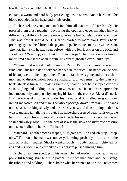contact, a warm and hard body pressed against his own. And a hard-on! The blood pounded in his head and in his groin.

Richard felt the young man melt into him, all that beautiful fresh body. He pressed them close together, devouring the open and eager mouth. This was different, so different from the male whores he had bought to satisfy an urge. This was how it should be. His hands started to roam along Paul's back, pressing against the fabric of the pajama-top. He wanted more, he wanted skin. The hot, light skin he had seen before, with the few freckles on the back and shoulders. "Your top, can I take off your top?" His question was husky, murmured against the open mouth. His breath ghosted over Paul's lips.

"Hmmm," it was difficult to answer, "yes." Paul wasn't sure he was still functional; his brain definitely had handed in its notice. The hands on the hem of his top weren't helping, either. Then the fabric was gone and after a short moment of disorientation because Richard, too, was missing, the man was back, shirtless himself. Freaking fantastic, coarse chest hair scraped over his skin, tingling and tickling, causing new sensations. He couldn't suppress the loud moan, only dampen it by burying his face in the crook of Richard's neck. But there was skin, directly under his mouth and it smelled so good. Paul licked and tasted salt and man. The whole package drove him crazy. The hands on his back, stroking slowly and torturously, now and then dipping under his waistband and tantalizing his butt. The male chest pressed against his own, the hair stimulating his nipples and the neck under his mouth, the neck that tasted so unbelievably good. And the best of it was the slow and rhythmic pressure on his cock. Should he warn Richard?

"Richard," another moan escaped, "I'm going to… oh god, oh, stop… stop, oh…" The sound he made was not very flattering, probably like an ape in the zoo, but it didn't matter. Shocks went through his body, cramps tightened his abs and his back like electricity as his orgasm pulsed through him.

Richard felt him shudder in his arms. He had made him come. It was a powerful feeling, strange but so potent. Just from that touch and the kissing, the rubbing and holding. Richard knew what he wanted to do now. He wanted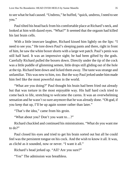to see what he had caused. "Undress," he huffed, "quick, undress, I need to see you."

Paul tilted his head back from his comfortable place at Richard's neck, and looked at him with dazed eyes. "What?" It seemed that the orgasm had killed his last brain cells.

With a little insecure laughter, Richard kissed him lightly on the lips: "I need to see you." He tore down Paul's sleeping pants and there, right in front of him, he saw the white boxer shorts with a large wet patch. Paul's penis was still half hard. It was an impressive sight; he had been gifted by the gods. Carefully Richard pulled the boxers down. Directly under the tip of the cock was a little puddle of glistening semen, little drops still gliding out of the hole at the tip. Richard bent down and licked them away. The taste was strange and unfamiliar. This was new to him, too. But the way Paul jerked under him made him feel like the most powerful man in the world.

"What are you doing?" Paul thought his brain had been fried out already but that was torture in the most enjoyable way. His half hard cock tried to come back to life, stretching to welcome the caress. It was an overwhelming sensation and he wasn't so sure anymore that he was already done. "Oh god, if you keep that up, I'll be up again sooner rather than later."

"That's the idea," came from his groin.

"What about you? Don't you want to…?"

Richard chuckled and continued his ministrations. "What do you want me to do?"

Paul closed his eyes and tried to get his brain sorted out but all he could feel was the persistent tongue on his cock. And the wish to know it all. It was, as cliché as it sounded, now or never. "I want it all."

Richard's head jerked up. "All? Are you sure?"

"Yes" The admission was breathless.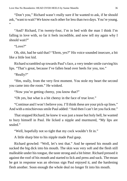"Don't you," Richard wasn't really sure if he wanted to ask, if he should ask, "want to wait? We know each other for less than two days. You're young. ,,

"And? Richard, I'm twenty-four, I'm in bed with the man I think I'm falling in love with, so far it feels incredible, and now tell my again why I should wait?"

"Love?"

Oh, shit, had he said that? "Ehrm, yes?" His voice sounded insecure, a bit like a little lost kid.

Richard scrambled up towards Paul's face, a very tender smile curving his lips. "That's great, because I've fallen head over heels for you, too."

"Really?"

"Hm, really, from the very first moment. You stole my heart the second you came into the room." He winked.

"Now you're getting cheesy, you know that?"

"Oh yes, but what is a bit cheesy in the face of true love."

"Continue and I won't believe you. I'll think these are your pick-up lines." And with a mischievous smile Paul added: "And then I can't let you fuck me."

That stopped Richard; he knew it was just a tease but holy hell, he wanted to bury himself in Paul. He licked a nipple and murmured, "My lips are sealed."

"Well, hopefully not so tight that my cock wouldn't fit in."

A little sharp bite to his nipple made Paul gasp.

Richard growled: "Well, let's test that." And he opened his mouth and sucked the big dick into his mouth. The skin was very soft and the flesh still malleable under his tongue, the taste strong and a bit bitter. Richard pressed it against the roof of his mouth and started to lick and press and suck. The moan he got in response was an obvious sign Paul enjoyed it, and the hardening flesh another. Soon enough the whole deal no longer fit into his mouth.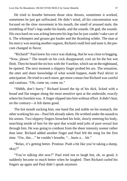He tried to breathe between those slow thrusts, sometimes it worked, sometimes he just got suffocated. He didn't mind, all his concentration was focused on the slow movement in his mouth, the smell of aroused male, the trembling of Paul's legs under his hands, and the sounds. Oh god, the sounds. His own hard-on was aching between his legs but he just couldn't take care of it. The whimpers and groans got louder and the thrashing wilder. The man at his mercy was nearing another orgasm, Richard could feel and taste it, the precum changed in flavor.

"Richard!" Paul knew his voice was shaking, that he was close to begging. "Now, please." The mouth on his cock disappeared; cool air hit the hot wet flesh. Then he heard the tin box with the Vaseline, which sat on the nightstand, be opened. The next moment a slippery finger probed his ass. The sensation, the utter and sheer knowledge of what would happen, made Paul shiver in anticipation. He tried to catch more, get more contact but Richard was careful and cautious. "Oh, come on, come on."

"Shhhh, don't hurry." Richard kissed the tip of his dick, licked with a broad and flat tongue along the most sensitive spot at the underside, exactly where his foreskin was. A finger slipped into him without effort. It didn't hurt, on the contrary—it felt damn good.

The hot mouth sucking him, one hand flat and stable on his stomach, the other working his ass—Paul felt already taken. He writhed under the assault to his senses. Two slippery fingers breached his hole, slowly entering his body, searching inside of him for the spot that would send jolts of pure sexual lust through him. He was going to combust from the sheer intensity sooner rather than later. Richard added another finger and Paul felt the sting for the first time. "Ow, this…" he couldn't breathe, "…hurts a… bit."

"Relax, it's getting better. Promise. Push a bit like you're taking a dump, okay?"

"You're talking shit now?" Paul tried not to laugh but, oh, so good, it suddenly became so much better when he laughed. Then Richard curled his fingers up again and Paul didn't speak anymore.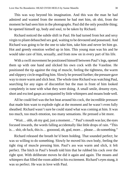This was way beyond his imagination. And this was the man he had admired and wanted from the moment he had met him, oh shit, from the moment he had seen him in the photographs. Paul did the only possible thing; he opened himself up, body and soul, to be taken by Richard.

Richard noticed the subtle shift in Paul. He had turned from hot and sexy virgin to pliant debauched sex god, waiting to be devoured and possessed. And Richard was going to be the one to take him, take him and never let him go. Hot and greedy emotion welled up in him. This young man was his and he would take care of him, sexually, and from now on in every part of his life.

With a swift movement he positioned himself between Paul's legs, opened them up with one hand and slicked his own cock with the Vaseline. He positioned the tip against the ring of muscle, feeling the tightness, the warm and slippery circle engulfing him. Slowly he pressed further; the pressure gave way to more warm and slick heat. The whole time Richard was watching Paul, searching for any signs of discomfort but the man in front of him looked completely in tune with what they were doing. A small smile, dreamy eyes, short and excited gasps accompanied by little whimpers and moans bode well.

All he could feel was the hot heat around his cock, the incredible pressure that made him want to explode right at the moment and he wasn't even fully sheathed. Richard wasn't sure he could stand what was coming at him. It was too much, too much emotion, too many sensations. He pressed a bit more.

"Wait… ohh, oh my god, just a moment…" Paul's mouth was lax; the eyes focused inwards, the words falling accidentally like little drops of rain. "This is… shit, oh fuck, this is… goooood, oh, god, more… please… do something."

Richard released the breath he'd been holding. That sounded perfect; he was so willing to do something. Slowly he moved his own body, feeling the tight ring of muscle pressing him. Paul's ass was warm and slick, it felt perfect. The hitch in Paul's breath told him that he rubbed his cock over the right spot. With deliberate moves he did it again and again. The moans and whimpers that filled the room added to his excitement. Richard's eyes stung, it was so perfect. He was in love with Paul.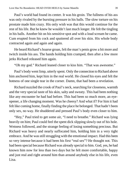Paul's world had found its center. It was his groin. The fullness of his ass was only rivaled by the bursting pressure in his balls. The slow torture on his prostate made him crazy. His only wish was that this would continue for the rest of his life. But he knew he wouldn't last much longer. He felt the tingling in his balls. Another hit on his sensitive spot and with a loud scream he came. Cum erupted from his cock and sputtered all over his skin. His whole body contracted again and again and again.

He heard Richard's hoarse groan, felt the man's penis grow a bit more and twitch inside his ass. The hands holding him cramped, then after a few more jerks Richard released him again.

"Oh my god." Richard leaned closer to kiss him. "That was awesome."

Paul's body went limp, utterly spent. Only the connection to Richard above him anchored him, kept him in the real world. He closed his eyes and felt the hotness of one single tear in the corner. Damn, that had been a revelation.

Richard nuzzled the crook of Paul's neck, searching for closeness, warmth and the very special taste of his skin, salty and sweaty. This had been nothing like any encounter he had had before. This had been so much more, an eyeopener, a life changing moment. Was he cheesy? And what if? For him it had felt like coming home, finally finding the place he belonged. That hadn't been only sex, no way. He shuddered and pressed Paul's body even closer to him.

"Hey," Paul tried to get some air, "I need to breathe." Richard was lying heavily on him; Paul could feel the spent dick slipping slowly out of his hole. Wetness followed, and the strange feeling of losing something precious. But Richard was heavy and nearly suffocated him, holding him in a very tight embrace. And he was still struggling with the emotional impact. Had this been so very intense because it had been his first "real sex"? He thought not. This had been special because Richard was already special to him. God, yes, he had known him now for less than two days but he felt more comfortable, happy and just real and right around him than around anybody else in his life, even Lisa.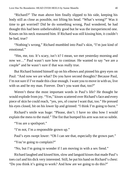"Richard?" The man above him finally slipped to his side, keeping his body still as close as possible, not lifting his head. "What's wrong?" Was it time to get worried? Did he do something wrong, Paul wondered, he had thought this had been unbelievablely good but he was the inexperienced one. Kisses on his neck reassured him. If Richard was still kissing him, it couldn't be bad, true?

"Nothing's wrong," Richard mumbled into Paul's skin, "I'm just kind of emotional."

"Hm, me, too. It's scary, isn't it? I mean, we met yesterday morning and now we…" Paul wasn't sure how to continue. He wanted to say "we are a couple" and he wasn't sure if that was really true.

But Richard hoisted himself up on his elbows and pinned his grey eyes on Paul: "And now we are what? Do you have second thoughts? Because Paul, I'm not sure if I've made this clear enough. I want you to move in with us, live with us and be my man. Forever. Don't you want that, too?"

Weren't these the most important words in Paul's life? He thought he would explode from joy. "Yes," kisses scattered over Richard's face and every piece of skin he could reach, "yes, yes, of course I want that, too." He pressed his eyes closed, bit on his lower lip and grinned: "I think I'm going to burst."

Richard's smile was huge: "Please, don't. I have no idea how I would explain the mess to the maid." The fist that bumped his arm was not so subtle.

"You are a spoilsport."

"I'm not, I'm a responsible grown up."

Paul's eyes swept lower: "Oh I can see that, especially the grown part."

"You're going to complain?"

"No, but I'm going to wonder if I am moving in with a sex fiend."

Richard laughed and kissed him, slow and languid kisses that made Paul's toes curl and his dick very interested. Still, he put his hand on Richard's chest: "Do you think it's going to work? And how are we going to do this?"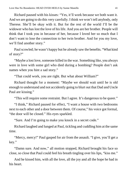Richard paused with his kisses: "Yes, it'll work because we both want it. And we are going to do this very carefully. I think we won't tell anybody, only Therese. She'll be okay with it. But for the rest of the world I'll be the widower who has lost the love of his life. And you are her brother. People will think that I took you in because of her, because I loved her so much that I don't want to lose the connection to her twin brother. And for you my love, we'll find another story."

Paul scowled; he wasn't happy but he already saw the benefits. "What kind of story?"

"Maybe a lost love, someone killed in the war. Something like, you always were in love with some girl who died during a bombing? People don't ask names when you hint a sad story."

"That could work, you are right. But what about William?"

Richard thought for a moment: "Maybe we should wait until he is old enough to understand and not accidently going to blurt out that Dad and Uncle Paul are kissing."

"This will require some restraint. But I agree. It's dangerous to be queer."

"I think," Richard paused for effect, "I want a house with two bedrooms next to each other and a door between them. Of course," his voice got formal, "the door will be closed." His eyes sparkled.

"Sure. And I'm going to make you knock in a secret code."

Richard laughed and lunged at Paul, tickling and cuddling him at the same time.

"Mercy, mercy!" Paul gasped for air from the assault. "I give, you'll get a key."

"Damn sure. And now," all motion stopped, Richard brought his face so close, so close that Paul could feel his breath tingling over his lips, "kiss me."

And he kissed him, with all the love, all the joy and all the hope he had in his heart.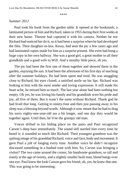#### \*\*\*\*

#### *Summer 2012*

Paul took his book from the garden table. It opened at the bookmark, a laminated picture of him and Richard, taken in 1955 during their first weeks at their new home. Therese had captured it with his camera. Neither he nor Richard had noticed her do it, so it had been a surprise when he had developed the film. Their daughter-in-law, Kessy, had seen the pic a few years ago and had laminated copies made for him as a surprise present. She even had hung a huge copy in her own hallway. She was a good girl, a great mother to all their grandkids and a good wife to Will. And a mouthy little piece, oh yes.

The pic had been the first one of them together and showed them in the garden, enjoying the sun. It had been the afternoon of his first day of teaching after the summer holidays. He had been spent and tired. He was snuggling close to Richard, his eyes closed, a satisfied smile on his lips. Richard was looking at him with the most tender and loving expression. It still made his heart ache, he missed him so much. The last year alone had been nothing but empty. Oh yes, he was loving his family and his grandkids were his pride and joy, all five of them. But it wasn't the same without Richard. Thank god he had lived that long. Getting to ninety-four and then just passing away in his sleep was a blessing beyond words. Although it now meant that he had to drag his sorry eighty-one-year-old ass a bit longer, and one day they would be together again. Until then, he'd be the grumpy old man.

Voices drifted to his hiding place on the patio and Paul recognized Carson's deep bass immediately. The sound still startled him every time he heard it; it sounded so much like Richard. Their youngest grandson was the spitting image of his granddad Richard, voice and face, body and movement.It gave Paul a jolt of longing every time. Another voice he didn't recognize discussed something in a hushed tone with him. So, Carson was bringing a visitor? The two came around the corner, his handsome grandson, so tall and manly at the age of twenty, and a slightly smaller built man, blond bangs over one eye. Paul knew the look Carson gave his friend, oh, yes, he knew that one. This was going to be interesting.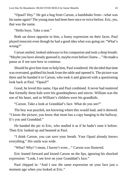"Opaul? Hey." He got a hug from Carson, a handshake from—what was his name again? The young man had been here once or twice before. Eric, yes, that was the name.

"Hello boys. Take a seat."

Both sat down opposite to him, a funny expression on their faces. Paul played innocent even though he had a good idea what was going on: "What's wrong?"

Carson smiled, looked sideways to his companion and took a deep breath: "Maybe you have already guessed it, maybe even before I knew…" He made a pause as if not sure how to continue.

Should he give him time or help him, Paul wondered. He decided that time was overrated, grabbed his book from the table and opened it. The picture was there and he handed it to Carson, who took it and glanced with a questioning look back at Paul. "Opaul?"

Good, he loved this name, Opa and Paul combined. It never had mattered that formally these kids were his grandnephews and nieces. William was the son of his heart, and so William's children were his grandkids.

"Carson. Take a look at Granddad's face. What do you see?"

The boy was puzzled, not knowing where this would lead, and it showed. "I know the picture; you know that mom has a copy hanging in the hallway. It's you and Granddad."

He handed the pic to Eric, who studied it as if he hadn't seen it before. Then Eric looked up and beamed at Paul.

"I think Carson, you can save your breath. Your Opaul already knows everything." His smile was wide.

"What? Why? I mean, I haven't even…" Carson was flustered.

Eric leaned forward and kissed Carson on the lips, ignoring his shocked expression: "Look, I see love on your Granddad's face."

Paul chipped in: "And I saw the same expression on your face just a moment ago when you looked at Eric."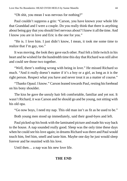"Oh shit, you mean I was nervous for nothing?"

Paul couldn't suppress a grin: "Carson, you have known your whole life that Granddad and I were a couple. Do you really think that there is anything about being gay that you should feel nervous about? I knew it all the time. And I know you are in love and Eric is the one for you."

"He is. I love him. I just didn't know, I mean, it took me some time to realize that I'm gay, too."

It was moving, the look they gave each other. Paul felt a little twitch in his heart and he wished for the hundredth time this day that Richard was still alive and could see those two together.

"Well, there's nothing wrong with being in love." He missed Richard so much. "And it really doesn't matter if it's a boy or a girl, as long as it is the right person. Respect what you have and never treat it as a matter of course."

"Thanks Opaul. I know." Carson leaned towards Paul, resting his forehead on his bony shoulder.

The kiss he gave the unruly hair felt comfortable, familiar and yet not. It wasn't Richard, it was Carson and he should go and be young, not sitting with his old opa.

"Go now boys, I need my nap. This old man isn't as fit as he used to be."

Both young men stood up immediately, said their good-byes and left.

Paul picked up his book with the laminated picture and made his way back to the house. A nap sounded really good. Sleep was the only time these days when he could see his love again; in dreams Richard was there and Paul would touch him, feel him, smell and taste him. Maybe one day he just would sleep forever and be reunited with his love.

Until then… a nap was his new love life.

#### **THE END**